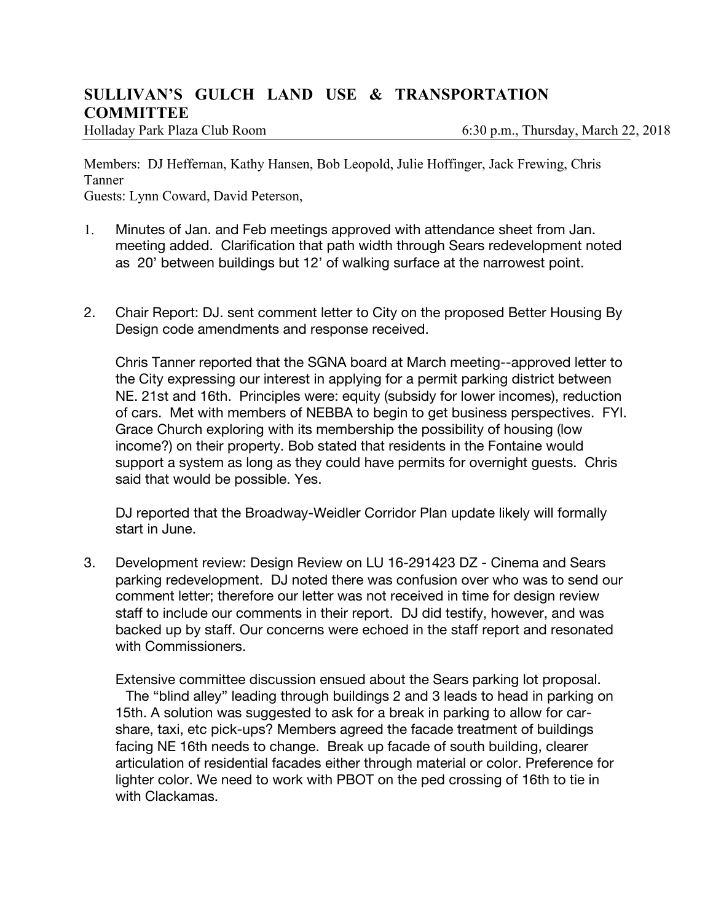## **SULLIVAN'S GULCH LAND USE & TRANSPORTATION COMMITTEE**

Holladay Park Plaza Club Room 6:30 p.m., Thursday, March 22, 2018

Members: DJ Heffernan, Kathy Hansen, Bob Leopold, Julie Hoffinger, Jack Frewing, Chris Tanner

Guests: Lynn Coward, David Peterson,

- 1. Minutes of Jan. and Feb meetings approved with attendance sheet from Jan. meeting added. Clarification that path width through Sears redevelopment noted as 20' between buildings but 12' of walking surface at the narrowest point.
- 2. Chair Report: DJ. sent comment letter to City on the proposed Better Housing By Design code amendments and response received.

Chris Tanner reported that the SGNA board at March meeting--approved letter to the City expressing our interest in applying for a permit parking district between NE. 21st and 16th. Principles were: equity (subsidy for lower incomes), reduction of cars. Met with members of NEBBA to begin to get business perspectives. FYI. Grace Church exploring with its membership the possibility of housing (low income?) on their property. Bob stated that residents in the Fontaine would support a system as long as they could have permits for overnight guests. Chris said that would be possible. Yes.

DJ reported that the Broadway-Weidler Corridor Plan update likely will formally start in June.

3. Development review: Design Review on LU 16-291423 DZ - Cinema and Sears parking redevelopment. DJ noted there was confusion over who was to send our comment letter; therefore our letter was not received in time for design review staff to include our comments in their report. DJ did testify, however, and was backed up by staff. Our concerns were echoed in the staff report and resonated with Commissioners.

Extensive committee discussion ensued about the Sears parking lot proposal. The "blind alley" leading through buildings 2 and 3 leads to head in parking on 15th. A solution was suggested to ask for a break in parking to allow for carshare, taxi, etc pick-ups? Members agreed the facade treatment of buildings facing NE 16th needs to change. Break up facade of south building, clearer articulation of residential facades either through material or color. Preference for lighter color. We need to work with PBOT on the ped crossing of 16th to tie in with Clackamas.